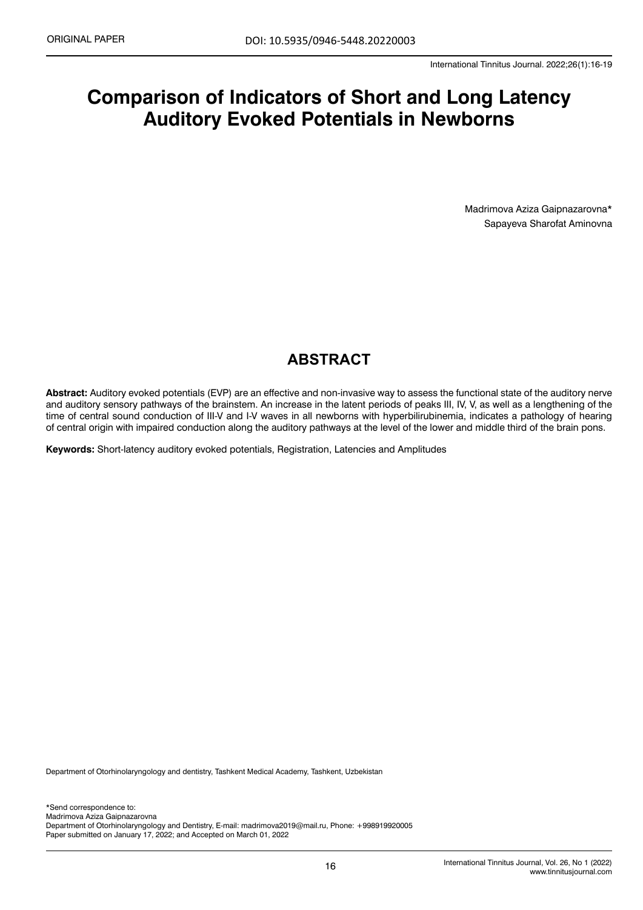# **Comparison of Indicators of Short and Long Latency Auditory Evoked Potentials in Newborns**

Madrimova Aziza Gaipnazarovna\* Sapayeva Sharofat Aminovna

## **ABSTRACT**

**Abstract:** Auditory evoked potentials (EVP) are an effective and non-invasive way to assess the functional state of the auditory nerve and auditory sensory pathways of the brainstem. An increase in the latent periods of peaks III, IV, V, as well as a lengthening of the time of central sound conduction of III-V and I-V waves in all newborns with hyperbilirubinemia, indicates a pathology of hearing of central origin with impaired conduction along the auditory pathways at the level of the lower and middle third of the brain pons.

**Keywords:** Short-latency auditory evoked potentials, Registration, Latencies and Amplitudes

Department of Otorhinolaryngology and dentistry, Tashkent Medical Academy, Tashkent, Uzbekistan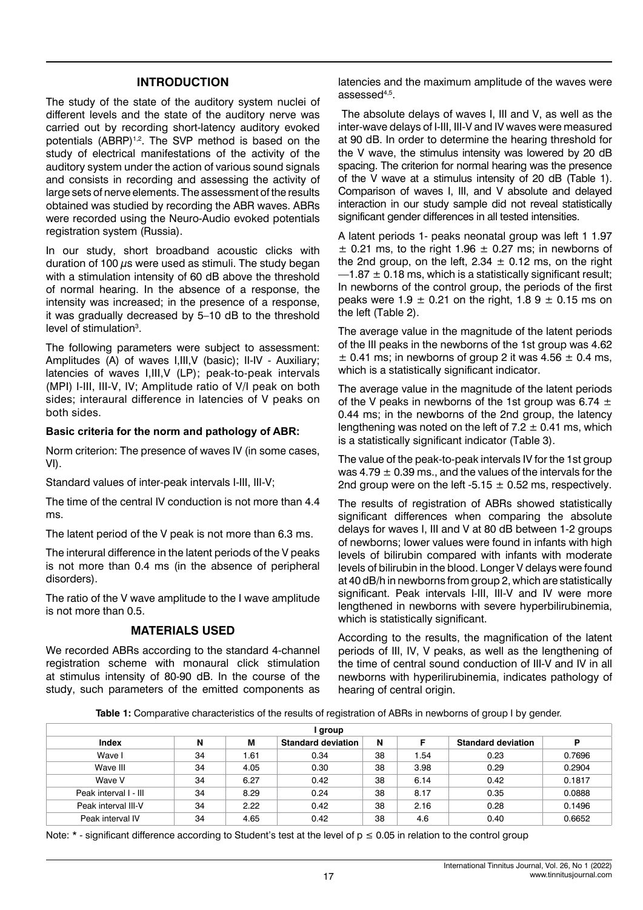#### **INTRODUCTION**

The study of the state of the auditory system nuclei of different levels and the state of the auditory nerve was carried out by recording short-latency auditory evoked potentials (ABRP)<sup>1,2</sup>. The SVP method is based on the study of electrical manifestations of the activity of the auditory system under the action of various sound signals and consists in recording and assessing the activity of large sets of nerve elements. The assessment of the results obtained was studied by recording the ABR waves. ABRs were recorded using the Neuro-Audio evoked potentials registration system (Russia).

In our study, short broadband acoustic clicks with duration of 100  $\mu$ s were used as stimuli. The study began with a stimulation intensity of 60 dB above the threshold of normal hearing. In the absence of a response, the intensity was increased; in the presence of a response, it was gradually decreased by 5–10 dB to the threshold level of stimulation<sup>3</sup>.

The following parameters were subject to assessment: Amplitudes (A) of waves I,III,V (basic); II-IV - Auxiliary; latencies of waves I,III,V (LP); peak-to-peak intervals (MPI) I-III, III-V, IV; Amplitude ratio of V/I peak on both sides; interaural difference in latencies of V peaks on both sides.

#### **Basic criteria for the norm and pathology of ABR:**

Norm criterion: The presence of waves IV (in some cases, VI).

Standard values of inter-peak intervals I-III, III-V;

The time of the central IV conduction is not more than 4.4 ms.

The latent period of the V peak is not more than 6.3 ms.

The interural difference in the latent periods of the V peaks is not more than 0.4 ms (in the absence of peripheral disorders).

The ratio of the V wave amplitude to the I wave amplitude is not more than 0.5.

#### **MATERIALS USED**

We recorded ABRs according to the standard 4-channel registration scheme with monaural click stimulation at stimulus intensity of 80-90 dB. In the course of the study, such parameters of the emitted components as

latencies and the maximum amplitude of the waves were assessed4,5.

 The absolute delays of waves I, III and V, as well as the inter-wave delays of I-III, III-V and IV waves were measured at 90 dB. In order to determine the hearing threshold for the V wave, the stimulus intensity was lowered by 20 dB spacing. The criterion for normal hearing was the presence of the V wave at a stimulus intensity of 20 dB (Table 1). Comparison of waves I, III, and V absolute and delayed interaction in our study sample did not reveal statistically significant gender differences in all tested intensities.

A latent periods 1- peaks neonatal group was left 1 1.97  $\pm$  0.21 ms, to the right 1.96  $\pm$  0.27 ms; in newborns of the 2nd group, on the left,  $2.34 \pm 0.12$  ms, on the right  $-1.87 \pm 0.18$  ms, which is a statistically significant result; In newborns of the control group, the periods of the first peaks were  $1.9 \pm 0.21$  on the right,  $1.89 \pm 0.15$  ms on the left (Table 2).

The average value in the magnitude of the latent periods of the III peaks in the newborns of the 1st group was 4.62  $\pm$  0.41 ms; in newborns of group 2 it was 4.56  $\pm$  0.4 ms, which is a statistically significant indicator.

The average value in the magnitude of the latent periods of the V peaks in newborns of the 1st group was 6.74  $\pm$ 0.44 ms; in the newborns of the 2nd group, the latency lengthening was noted on the left of  $7.2 \pm 0.41$  ms, which is a statistically significant indicator (Table 3).

The value of the peak-to-peak intervals IV for the 1st group was 4.79  $\pm$  0.39 ms., and the values of the intervals for the 2nd group were on the left -5.15  $\pm$  0.52 ms, respectively.

The results of registration of ABRs showed statistically significant differences when comparing the absolute delays for waves I, III and V at 80 dB between 1-2 groups of newborns; lower values were found in infants with high levels of bilirubin compared with infants with moderate levels of bilirubin in the blood. Longer V delays were found at 40 dB/h in newborns from group 2, which are statistically significant. Peak intervals I-III, III-V and IV were more lengthened in newborns with severe hyperbilirubinemia, which is statistically significant.

According to the results, the magnification of the latent periods of III, IV, V peaks, as well as the lengthening of the time of central sound conduction of III-V and IV in all newborns with hyperilirubinemia, indicates pathology of hearing of central origin.

**Table 1:** Comparative characteristics of the results of registration of ABRs in newborns of group I by gender.

| l group               |    |      |                           |    |      |                           |        |
|-----------------------|----|------|---------------------------|----|------|---------------------------|--------|
| Index                 | N  | м    | <b>Standard deviation</b> | N  | E    | <b>Standard deviation</b> | P      |
| Wave I                | 34 | l.61 | 0.34                      | 38 | 1.54 | 0.23                      | 0.7696 |
| Wave III              | 34 | 4.05 | 0.30                      | 38 | 3.98 | 0.29                      | 0.2904 |
| Wave V                | 34 | 6.27 | 0.42                      | 38 | 6.14 | 0.42                      | 0.1817 |
| Peak interval I - III | 34 | 8.29 | 0.24                      | 38 | 8.17 | 0.35                      | 0.0888 |
| Peak interval III-V   | 34 | 2.22 | 0.42                      | 38 | 2.16 | 0.28                      | 0.1496 |
| Peak interval IV      | 34 | 4.65 | 0.42                      | 38 | 4.6  | 0.40                      | 0.6652 |

Note:  $*$  - significant difference according to Student's test at the level of  $p \le 0.05$  in relation to the control group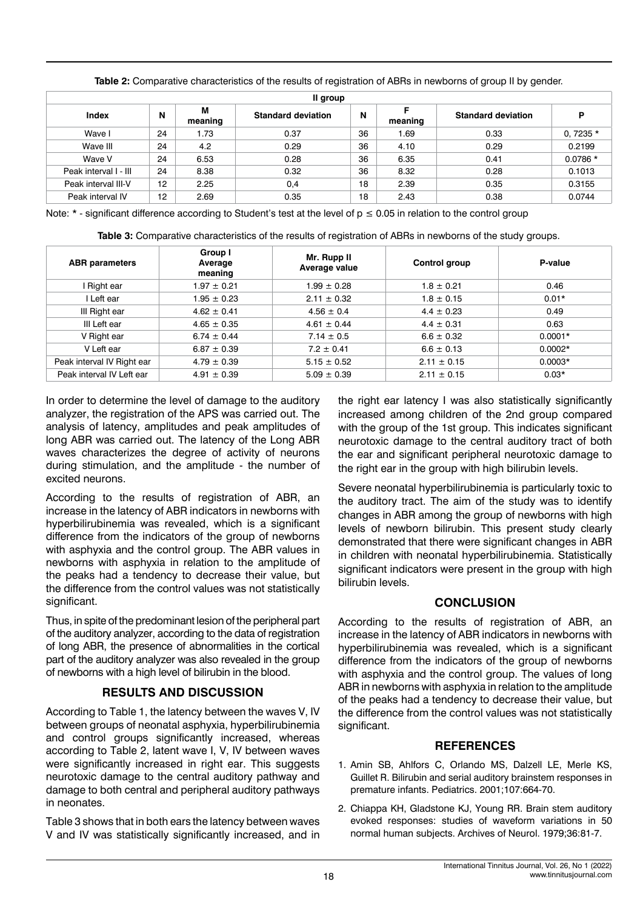|                       |    |              | -                         |    |         |                           |             |
|-----------------------|----|--------------|---------------------------|----|---------|---------------------------|-------------|
| Il group              |    |              |                           |    |         |                           |             |
| Index                 | N  | М<br>meaning | <b>Standard deviation</b> | N  | meaning | <b>Standard deviation</b> | P           |
| Wave I                | 24 | 1.73         | 0.37                      | 36 | 1.69    | 0.33                      | 0, 7235 $*$ |
| Wave III              | 24 | 4.2          | 0.29                      | 36 | 4.10    | 0.29                      | 0.2199      |
| Wave V                | 24 | 6.53         | 0.28                      | 36 | 6.35    | 0.41                      | $0.0786*$   |
| Peak interval I - III | 24 | 8.38         | 0.32                      | 36 | 8.32    | 0.28                      | 0.1013      |
| Peak interval III-V   | 12 | 2.25         | 0,4                       | 18 | 2.39    | 0.35                      | 0.3155      |
| Peak interval IV      | 12 | 2.69         | 0.35                      | 18 | 2.43    | 0.38                      | 0.0744      |

**Table 2:** Comparative characteristics of the results of registration of ABRs in newborns of group II by gender.

Note:  $*$  - significant difference according to Student's test at the level of  $p \le 0.05$  in relation to the control group

| <b>ABR</b> parameters      | Group I<br>Average<br>meaning | Mr. Rupp II<br>Average value | Control group   | P-value   |
|----------------------------|-------------------------------|------------------------------|-----------------|-----------|
| I Right ear                | $1.97 \pm 0.21$               | $1.99 \pm 0.28$              | $1.8 \pm 0.21$  | 0.46      |
| I Left ear                 | $1.95 \pm 0.23$               | $2.11 \pm 0.32$              | $1.8 \pm 0.15$  | $0.01*$   |
| III Right ear              | $4.62 \pm 0.41$               | $4.56 \pm 0.4$               | $4.4 \pm 0.23$  | 0.49      |
| III Left ear               | $4.65 \pm 0.35$               | $4.61 \pm 0.44$              | $4.4 \pm 0.31$  | 0.63      |
| V Right ear                | $6.74 \pm 0.44$               | $7.14 \pm 0.5$               | $6.6 \pm 0.32$  | $0.0001*$ |
| V Left ear                 | $6.87 \pm 0.39$               | $7.2 \pm 0.41$               | $6.6 \pm 0.13$  | $0.0002*$ |
| Peak interval IV Right ear | $4.79 \pm 0.39$               | $5.15 \pm 0.52$              | $2.11 \pm 0.15$ | $0.0003*$ |
| Peak interval IV Left ear  | $4.91 \pm 0.39$               | $5.09 \pm 0.39$              | $2.11 \pm 0.15$ | $0.03*$   |

In order to determine the level of damage to the auditory analyzer, the registration of the APS was carried out. The analysis of latency, amplitudes and peak amplitudes of long ABR was carried out. The latency of the Long ABR waves characterizes the degree of activity of neurons during stimulation, and the amplitude - the number of excited neurons.

According to the results of registration of ABR, an increase in the latency of ABR indicators in newborns with hyperbilirubinemia was revealed, which is a significant difference from the indicators of the group of newborns with asphyxia and the control group. The ABR values in newborns with asphyxia in relation to the amplitude of the peaks had a tendency to decrease their value, but the difference from the control values was not statistically significant.

Thus, in spite of the predominant lesion of the peripheral part of the auditory analyzer, according to the data of registration of long ABR, the presence of abnormalities in the cortical part of the auditory analyzer was also revealed in the group of newborns with a high level of bilirubin in the blood.

## **RESULTS AND DISCUSSION**

According to Table 1, the latency between the waves V, IV between groups of neonatal asphyxia, hyperbilirubinemia and control groups significantly increased, whereas according to Table 2, latent wave I, V, IV between waves were significantly increased in right ear. This suggests neurotoxic damage to the central auditory pathway and damage to both central and peripheral auditory pathways in neonates.

Table 3 shows that in both ears the latency between waves V and IV was statistically significantly increased, and in the right ear latency I was also statistically significantly increased among children of the 2nd group compared with the group of the 1st group. This indicates significant neurotoxic damage to the central auditory tract of both the ear and significant peripheral neurotoxic damage to the right ear in the group with high bilirubin levels.

Severe neonatal hyperbilirubinemia is particularly toxic to the auditory tract. The aim of the study was to identify changes in ABR among the group of newborns with high levels of newborn bilirubin. This present study clearly demonstrated that there were significant changes in ABR in children with neonatal hyperbilirubinemia. Statistically significant indicators were present in the group with high bilirubin levels.

## **CONCLUSION**

According to the results of registration of ABR, an increase in the latency of ABR indicators in newborns with hyperbilirubinemia was revealed, which is a significant difference from the indicators of the group of newborns with asphyxia and the control group. The values of long ABR in newborns with asphyxia in relation to the amplitude of the peaks had a tendency to decrease their value, but the difference from the control values was not statistically significant.

## **REFERENCES**

- 1. Amin SB, Ahlfors C, Orlando MS, Dalzell LE, Merle KS, Guillet R. [Bilirubin and serial auditory brainstem responses in](https://publications.aap.org/pediatrics/article-abstract/107/4/664/63512/Bilirubin-and-Serial-Auditory-Brainstem-Responses?redirectedFrom=PDF)  [premature infants.](https://publications.aap.org/pediatrics/article-abstract/107/4/664/63512/Bilirubin-and-Serial-Auditory-Brainstem-Responses?redirectedFrom=PDF) Pediatrics. 2001;107:664-70.
- 2. Chiappa KH, Gladstone KJ, Young RR. Brain stem auditory evoked responses: studies of waveform variations in 50 normal human subjects. Archives of Neurol. 1979;36:81-7.